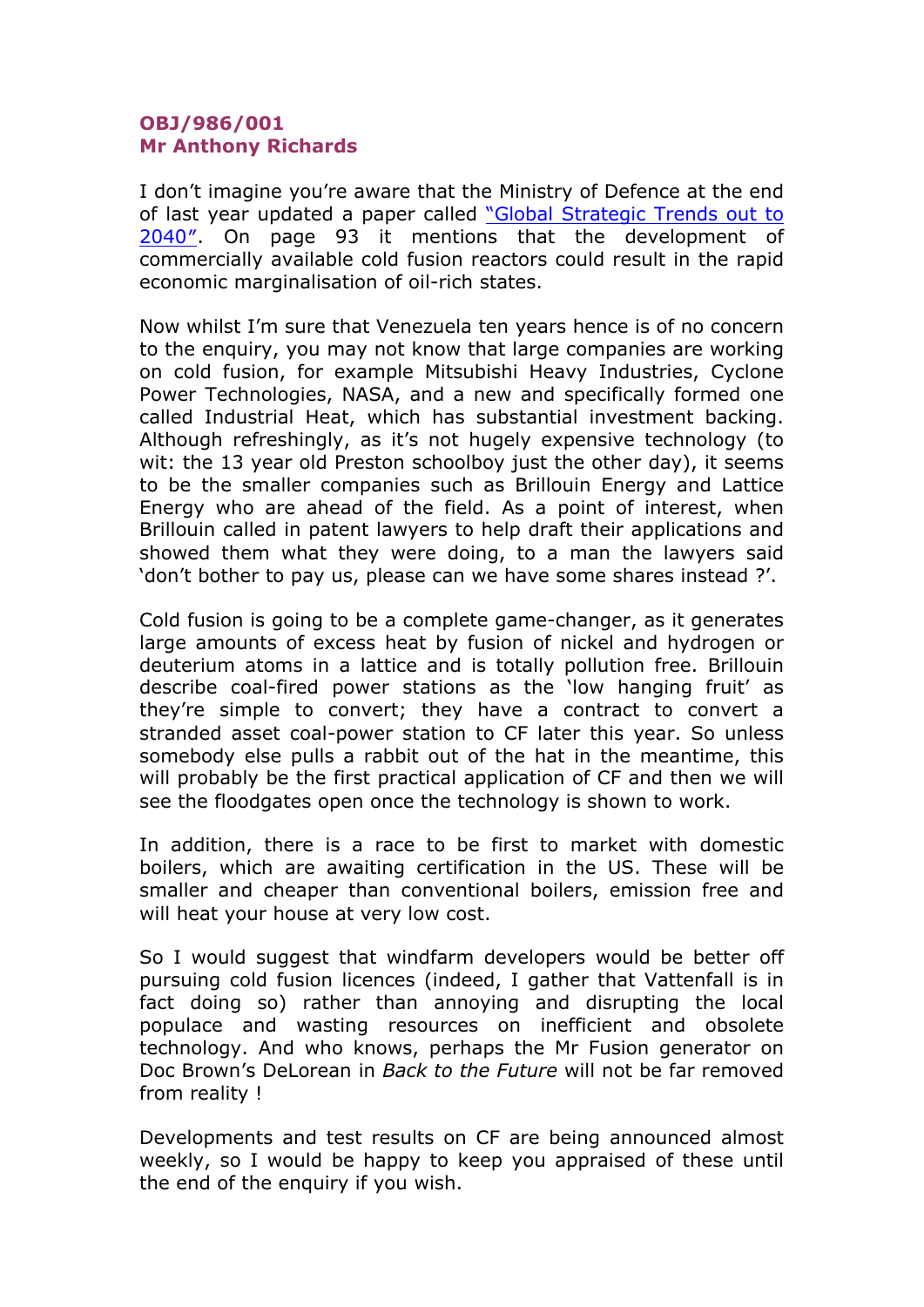## **OBJ/986/001 Mr Anthony Richards**

I don't imagine you're aware that the Ministry of Defence at the end of last year updated a paper called "Global Strategic Trends out to 2040″. On page 93 it mentions that the development of commercially available cold fusion reactors could result in the rapid economic marginalisation of oil-rich states.

Now whilst I'm sure that Venezuela ten years hence is of no concern to the enquiry, you may not know that large companies are working on cold fusion, for example Mitsubishi Heavy Industries, Cyclone Power Technologies, NASA, and a new and specifically formed one called Industrial Heat, which has substantial investment backing. Although refreshingly, as it's not hugely expensive technology (to wit: the 13 year old Preston schoolboy just the other day), it seems to be the smaller companies such as Brillouin Energy and Lattice Energy who are ahead of the field. As a point of interest, when Brillouin called in patent lawyers to help draft their applications and showed them what they were doing, to a man the lawyers said 'don't bother to pay us, please can we have some shares instead ?'.

Cold fusion is going to be a complete game-changer, as it generates large amounts of excess heat by fusion of nickel and hydrogen or deuterium atoms in a lattice and is totally pollution free. Brillouin describe coal-fired power stations as the 'low hanging fruit' as they're simple to convert; they have a contract to convert a stranded asset coal-power station to CF later this year. So unless somebody else pulls a rabbit out of the hat in the meantime, this will probably be the first practical application of CF and then we will see the floodgates open once the technology is shown to work.

In addition, there is a race to be first to market with domestic boilers, which are awaiting certification in the US. These will be smaller and cheaper than conventional boilers, emission free and will heat your house at very low cost.

So I would suggest that windfarm developers would be better off pursuing cold fusion licences (indeed, I gather that Vattenfall is in fact doing so) rather than annoying and disrupting the local populace and wasting resources on inefficient and obsolete technology. And who knows, perhaps the Mr Fusion generator on Doc Brown's DeLorean in *Back to the Future* will not be far removed from reality !

Developments and test results on CF are being announced almost weekly, so I would be happy to keep you appraised of these until the end of the enquiry if you wish.